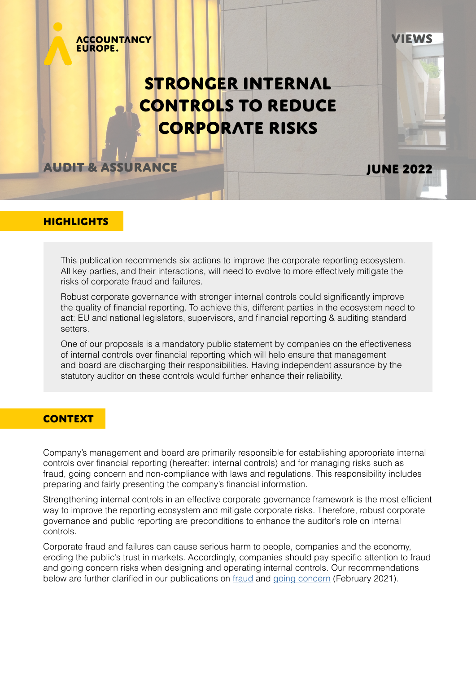# Stronger Internal controls to reduce corporate risks

**EWS** 

**June 2022**

**Audit & assurance**

**ACCOUNTANCY** 

**EUROPE.** 

## **HIGHLIGHTS**

This publication recommends six actions to improve the corporate reporting ecosystem. All key parties, and their interactions, will need to evolve to more effectively mitigate the risks of corporate fraud and failures.

Robust corporate governance with stronger internal controls could significantly improve the quality of financial reporting. To achieve this, different parties in the ecosystem need to act: EU and national legislators, supervisors, and financial reporting & auditing standard setters.

One of our proposals is a mandatory public statement by companies on the effectiveness of internal controls over financial reporting which will help ensure that management and board are discharging their responsibilities. Having independent assurance by the statutory auditor on these controls would further enhance their reliability.

#### **CONTEXT**

Company's management and board are primarily responsible for establishing appropriate internal controls over financial reporting (hereafter: internal controls) and for managing risks such as fraud, going concern and non-compliance with laws and regulations. This responsibility includes preparing and fairly presenting the company's financial information.

Strengthening internal controls in an effective corporate governance framework is the most efficient way to improve the reporting ecosystem and mitigate corporate risks. Therefore, robust corporate governance and public reporting are preconditions to enhance the auditor's role on internal controls.

Corporate fraud and failures can cause serious harm to people, companies and the economy, eroding the public's trust in markets. Accordingly, companies should pay specific attention to fraud and going concern risks when designing and operating internal controls. Our recommendations below are further clarified in our publications on [fraud](https://www.accountancyeurope.eu/publications/fraud-recommendations-to-strengthen-the-financial-reporting-ecosystem/) and [going concern](https://www.accountancyeurope.eu/publications/going-concern-recommendations-to-strengthen-the-financial-reporting-ecosystem/) (February 2021).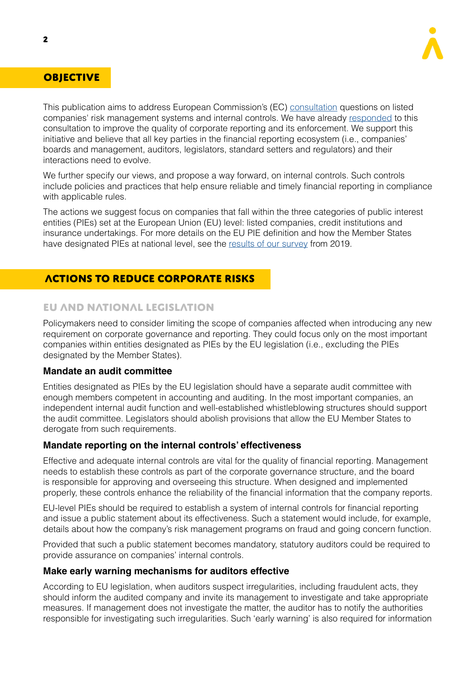

# **OBJECTIVE**

This publication aims to address European Commission's (EC) [consultation](https://ec.europa.eu/info/law/better-regulation/have-your-say/initiatives/13128-Corporate-reporting-improving-its-quality-and-enforcement/public-consultation_en) questions on listed companies' risk management systems and internal controls. We have already [responded](https://www.accountancyeurope.eu/consultation-response/ecs-consultation-on-corporate-reporting-improving-its-quality-and-enforcement/) to this consultation to improve the quality of corporate reporting and its enforcement. We support this initiative and believe that all key parties in the financial reporting ecosystem (i.e., companies' boards and management, auditors, legislators, standard setters and regulators) and their interactions need to evolve.

We further specify our views, and propose a way forward, on internal controls. Such controls include policies and practices that help ensure reliable and timely financial reporting in compliance with applicable rules.

The actions we suggest focus on companies that fall within the three categories of public interest entities (PIEs) set at the European Union (EU) level: listed companies, credit institutions and insurance undertakings. For more details on the EU PIE definition and how the Member States have designated PIEs at national level, see the [results of our survey](https://www.accountancyeurope.eu/publications/definition-public-interest-entities-europe/) from 2019.

# actions to reduce corporate risks

## EU and national legislation

Policymakers need to consider limiting the scope of companies affected when introducing any new requirement on corporate governance and reporting. They could focus only on the most important companies within entities designated as PIEs by the EU legislation (i.e., excluding the PIEs designated by the Member States).

#### **Mandate an audit committee**

Entities designated as PIEs by the EU legislation should have a separate audit committee with enough members competent in accounting and auditing. In the most important companies, an independent internal audit function and well-established whistleblowing structures should support the audit committee. Legislators should abolish provisions that allow the EU Member States to derogate from such requirements.

#### **Mandate reporting on the internal controls' effectiveness**

Effective and adequate internal controls are vital for the quality of financial reporting. Management needs to establish these controls as part of the corporate governance structure, and the board is responsible for approving and overseeing this structure. When designed and implemented properly, these controls enhance the reliability of the financial information that the company reports.

EU-level PIEs should be required to establish a system of internal controls for financial reporting and issue a public statement about its effectiveness. Such a statement would include, for example, details about how the company's risk management programs on fraud and going concern function.

Provided that such a public statement becomes mandatory, statutory auditors could be required to provide assurance on companies' internal controls.

#### **Make early warning mechanisms for auditors effective**

According to EU legislation, when auditors suspect irregularities, including fraudulent acts, they should inform the audited company and invite its management to investigate and take appropriate measures. If management does not investigate the matter, the auditor has to notify the authorities responsible for investigating such irregularities. Such 'early warning' is also required for information